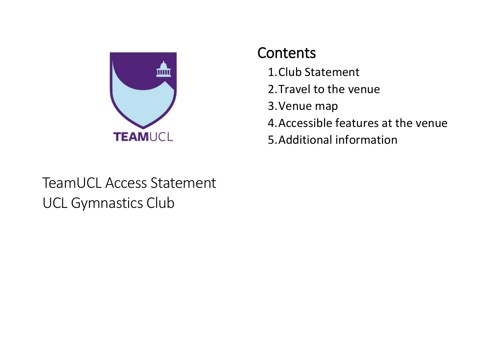

## **Contents**

- 1.Club Statement
- 2.Travel to the venue
- 3.Venue map
- 4.Accessible features at the venue
- 5.Additional information

## TeamUCL Access Statement UCL Gymnastics Club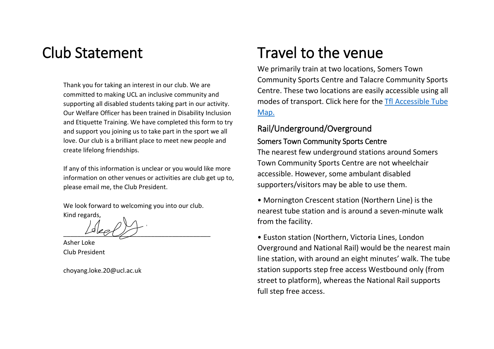## Club Statement

Thank you for taking an interest in our club. We are committed to making UCL an inclusive community and supporting all disabled students taking part in our activity. Our Welfare Officer has been trained in Disability Inclusion and Etiquette Training. We have completed this form to try and support you joining us to take part in the sport we all love. Our club is a brilliant place to meet new people and create lifelong friendships.

If any of this information is unclear or you would like more information on other venues or activities are club get up to, please email me, the Club President.

We look forward to welcoming you into our club. Kind regards,

 $L^{s}V$ 

Asher Loke Club President

choyang.loke.20@ucl.ac.uk

## Travel to the venue

We primarily train at two locations, Somers Town Community Sports Centre and Talacre Community Sports Centre. These two locations are easily accessible using all modes of transport. Click here for the [Tfl Accessible Tube](https://tfl.gov.uk/transport-accessibility/wheelchair-access-and-avoiding-stairs)  [Map.](https://tfl.gov.uk/transport-accessibility/wheelchair-access-and-avoiding-stairs)

#### Rail/Underground/Overground

#### Somers Town Community Sports Centre

The nearest few underground stations around Somers Town Community Sports Centre are not wheelchair accessible. However, some ambulant disabled supporters/visitors may be able to use them.

• Mornington Crescent station (Northern Line) is the nearest tube station and is around a seven-minute walk from the facility.

• Euston station (Northern, Victoria Lines, London Overground and National Rail) would be the nearest main line station, with around an eight minutes' walk. The tube station supports step free access Westbound only (from street to platform), whereas the National Rail supports full step free access.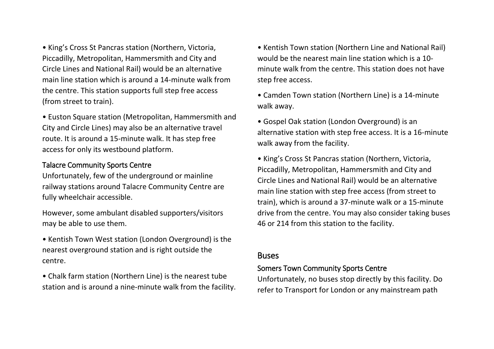• King's Cross St Pancras station (Northern, Victoria, Piccadilly, Metropolitan, Hammersmith and City and Circle Lines and National Rail) would be an alternative main line station which is around a 14-minute walk from the centre. This station supports full step free access (from street to train).

• Euston Square station (Metropolitan, Hammersmith and City and Circle Lines) may also be an alternative travel route. It is around a 15-minute walk. It has step free access for only its westbound platform.

#### Talacre Community Sports Centre

Unfortunately, few of the underground or mainline railway stations around Talacre Community Centre are fully wheelchair accessible.

However, some ambulant disabled supporters/visitors may be able to use them.

• Kentish Town West station (London Overground) is the nearest overground station and is right outside the centre.

• Chalk farm station (Northern Line) is the nearest tube station and is around a nine-minute walk from the facility.

• Kentish Town station (Northern Line and National Rail) would be the nearest main line station which is a 10 minute walk from the centre. This station does not have step free access.

• Camden Town station (Northern Line) is a 14-minute walk away.

• Gospel Oak station (London Overground) is an alternative station with step free access. It is a 16-minute walk away from the facility.

• King's Cross St Pancras station (Northern, Victoria, Piccadilly, Metropolitan, Hammersmith and City and Circle Lines and National Rail) would be an alternative main line station with step free access (from street to train), which is around a 37-minute walk or a 15-minute drive from the centre. You may also consider taking buses 46 or 214 from this station to the facility.

#### Buses

#### Somers Town Community Sports Centre

Unfortunately, no buses stop directly by this facility. Do refer to Transport for London or any mainstream path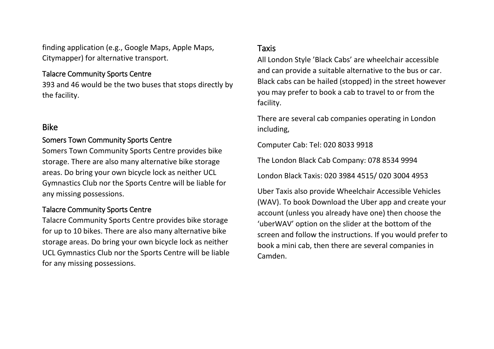finding application (e.g., Google Maps, Apple Maps, Citymapper) for alternative transport.

#### Talacre Community Sports Centre

393 and 46 would be the two buses that stops directly by the facility.

#### Bike

#### Somers Town Community Sports Centre

Somers Town Community Sports Centre provides bike storage. There are also many alternative bike storage areas. Do bring your own bicycle lock as neither UCL Gymnastics Club nor the Sports Centre will be liable for any missing possessions.

#### Talacre Community Sports Centre

Talacre Community Sports Centre provides bike storage for up to 10 bikes. There are also many alternative bike storage areas. Do bring your own bicycle lock as neither UCL Gymnastics Club nor the Sports Centre will be liable for any missing possessions.

#### Taxis

All London Style 'Black Cabs' are wheelchair accessible and can provide a suitable alternative to the bus or car. Black cabs can be hailed (stopped) in the street however you may prefer to book a cab to travel to or from the facility.

There are several cab companies operating in London including,

Computer Cab: Tel: 020 8033 9918

The London Black Cab Company: 078 8534 9994

London Black Taxis: 020 3984 4515/ 020 3004 4953

Uber Taxis also provide Wheelchair Accessible Vehicles (WAV). To book Download the Uber app and create your account (unless you already have one) then choose the 'uberWAV' option on the slider at the bottom of the screen and follow the instructions. If you would prefer to book a mini cab, then there are several companies in Camden.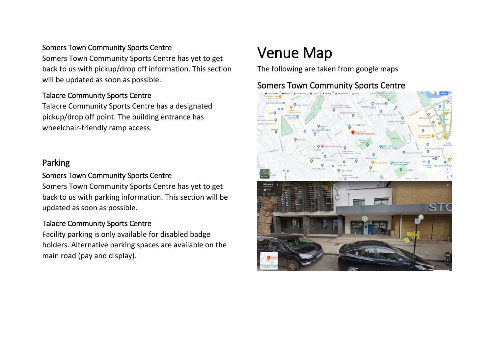#### Somers Town Community Sports Centre

Somers Town Community Sports Centre has yet to get back to us with pickup/drop off information. This section will be updated as soon as possible.

#### Talacre Community Sports Centre

Talacre Community Sports Centre has a designated pickup/drop off point. The building entrance has wheelchair-friendly ramp access.

#### Parking

#### Somers Town Community Sports Centre

Somers Town Community Sports Centre has yet to get back to us with parking information. This section will be updated as soon as possible.

#### Talacre Community Sports Centre

Facility parking is only available for disabled badge holders. Alternative parking spaces are available on the main road (pay and display).

## Venue Map

The following are taken from google maps

#### Somers Town Community Sports Centre

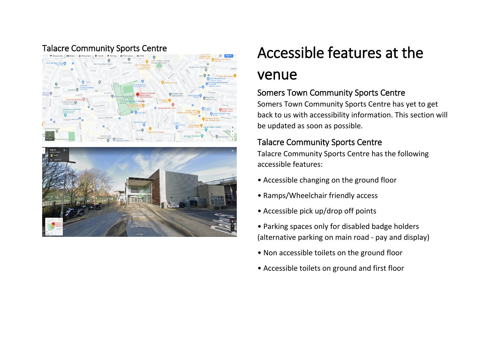



# Talacre Community Sports Centre and the Accessible features at the

## venue

### Somers Town Community Sports Centre

Somers Town Community Sports Centre has yet to get back to us with accessibility information. This section will be updated as soon as possible.

#### Talacre Community Sports Centre

Talacre Community Sports Centre has the following accessible features:

- Accessible changing on the ground floor
- Ramps/Wheelchair friendly access
- Accessible pick up/drop off points
- Parking spaces only for disabled badge holders (alternative parking on main road - pay and display)
- Non accessible toilets on the ground floor
- Accessible toilets on ground and first floor